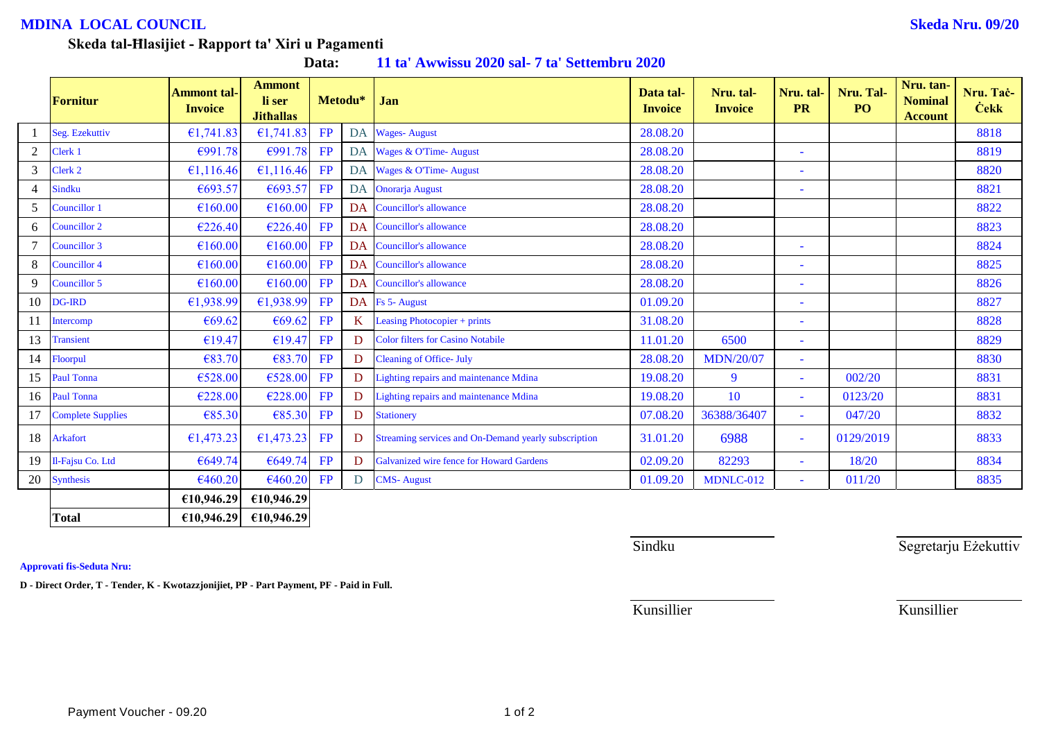## **MDINA LOCAL COUNCIL Skeda Nru. 09/20**

## **Skeda tal-Ħlasijiet - Rapport ta' Xiri u Pagamenti**

| Data: |  |  |  |  | 11 ta' Awwissu 2020 sal-7 ta' Settembru 2020 |
|-------|--|--|--|--|----------------------------------------------|
|-------|--|--|--|--|----------------------------------------------|

|                | Fornitur                 | <b>Ammont tal-</b><br><b>Invoice</b> | <b>Ammont</b><br>li ser<br><b>Jithallas</b> |    | Metodu* | Jan                                                  | Data tal-<br><b>Invoice</b> | Nru. tal-<br><b>Invoice</b> | Nru. tal-<br><b>PR</b>   | Nru. Tal-<br>PO | Nru. tan-<br><b>Nominal</b><br><b>Account</b> | Nru. Tac-<br><b>Cekk</b> |
|----------------|--------------------------|--------------------------------------|---------------------------------------------|----|---------|------------------------------------------------------|-----------------------------|-----------------------------|--------------------------|-----------------|-----------------------------------------------|--------------------------|
|                | Seg. Ezekuttiv           | €1,741.83                            | £1,741.83                                   | FP | DA      | <b>Wages-August</b>                                  | 28.08.20                    |                             |                          |                 |                                               | 8818                     |
| $\overline{2}$ | Clerk <sub>1</sub>       | €991.78                              | €991.78                                     | FP | DA      | Wages & O'Time-August                                | 28.08.20                    |                             |                          |                 |                                               | 8819                     |
| 3              | Clerk 2                  | €1,116.46                            | €1,116.46 FP                                |    | DA      | Wages & O'Time- August                               | 28.08.20                    |                             |                          |                 |                                               | 8820                     |
|                | <b>Sindku</b>            | €693.57                              | €693.57                                     | FP | DA      | <b>Onorarja</b> August                               | 28.08.20                    |                             | $\overline{\phantom{0}}$ |                 |                                               | 8821                     |
| 5              | Councillor 1             | €160.00                              | €160.00                                     | FP | DA      | Councillor's allowance                               | 28.08.20                    |                             |                          |                 |                                               | 8822                     |
| 6              | Councillor 2             | €226.40                              | E226.40                                     | FP | DA      | Councillor's allowance                               | 28.08.20                    |                             |                          |                 |                                               | 8823                     |
|                | Councillor 3             | €160.00                              | €160.00                                     | FP | DA      | Councillor's allowance                               | 28.08.20                    |                             | $\sim$                   |                 |                                               | 8824                     |
| 8              | Councillor 4             | €160.00                              | €160.00                                     | FP | DA      | Councillor's allowance                               | 28.08.20                    |                             | ٠                        |                 |                                               | 8825                     |
| 9              | Councillor 5             | €160.00                              | €160.00                                     | FP | DA      | <b>Councillor's allowance</b>                        | 28.08.20                    |                             | $\sim$                   |                 |                                               | 8826                     |
|                | 10 DG-IRD                | €1,938.99                            | £1,938.99                                   | FP |         | DA Fs 5- August                                      | 01.09.20                    |                             | $\overline{\phantom{0}}$ |                 |                                               | 8827                     |
| 11             | Intercomp                | €69.62                               | €69.62                                      | FP | K       | Leasing Photocopier + prints                         | 31.08.20                    |                             | $\overline{\phantom{a}}$ |                 |                                               | 8828                     |
| 13             | <b>Transient</b>         | €19.47                               | €19.47                                      | FP | D.      | <b>Color filters for Casino Notabile</b>             | 11.01.20                    | 6500                        | $\sim$                   |                 |                                               | 8829                     |
| 14             | Floorpul                 | €83.70                               | €83.70                                      | FP | D       | <b>Cleaning of Office- July</b>                      | 28.08.20                    | <b>MDN/20/07</b>            | $\sim$                   |                 |                                               | 8830                     |
| 15             | <b>Paul Tonna</b>        | €528.00                              | €528.00                                     | FP | D       | Lighting repairs and maintenance Mdina               | 19.08.20                    | 9                           | $\omega$                 | 002/20          |                                               | 8831                     |
|                | 16 Paul Tonna            | €228.00                              | €228.00                                     | FP | D       | Lighting repairs and maintenance Mdina               | 19.08.20                    | 10                          | $\sim$                   | 0123/20         |                                               | 8831                     |
| 17             | <b>Complete Supplies</b> | €85.30                               | €85.30                                      | FP | D       | <b>Stationery</b>                                    | 07.08.20                    | 36388/36407                 | $\equiv$                 | 047/20          |                                               | 8832                     |
| 18             | <b>Arkafort</b>          | €1,473.23                            | £1,473.23                                   | FP | D       | Streaming services and On-Demand yearly subscription | 31.01.20                    | 6988                        | $\sim$                   | 0129/2019       |                                               | 8833                     |
| 19             | Il-Fajsu Co. Ltd         | €649.74                              | €649.74                                     | FP | D       | Galvanized wire fence for Howard Gardens             | 02.09.20                    | 82293                       | $\equiv$                 | 18/20           |                                               | 8834                     |
| 20             | <b>Synthesis</b>         | €460.20                              | €460.20                                     | FP | D.      | <b>CMS-August</b>                                    | 01.09.20                    | MDNLC-012                   | $\sim$                   | 011/20          |                                               | 8835                     |
|                |                          | €10,946.29                           | £10,946.29                                  |    |         |                                                      |                             |                             |                          |                 |                                               |                          |
|                | <b>Total</b>             | £10,946.29                           | £10,946.29                                  |    |         |                                                      |                             |                             |                          |                 |                                               |                          |

**Approvati fis-Seduta Nru:**

**D - Direct Order, T - Tender, K - Kwotazzjonijiet, PP - Part Payment, PF - Paid in Full.**

Sindku Sindku Segretarju Eżekuttiv

Kunsillier Kunsillier